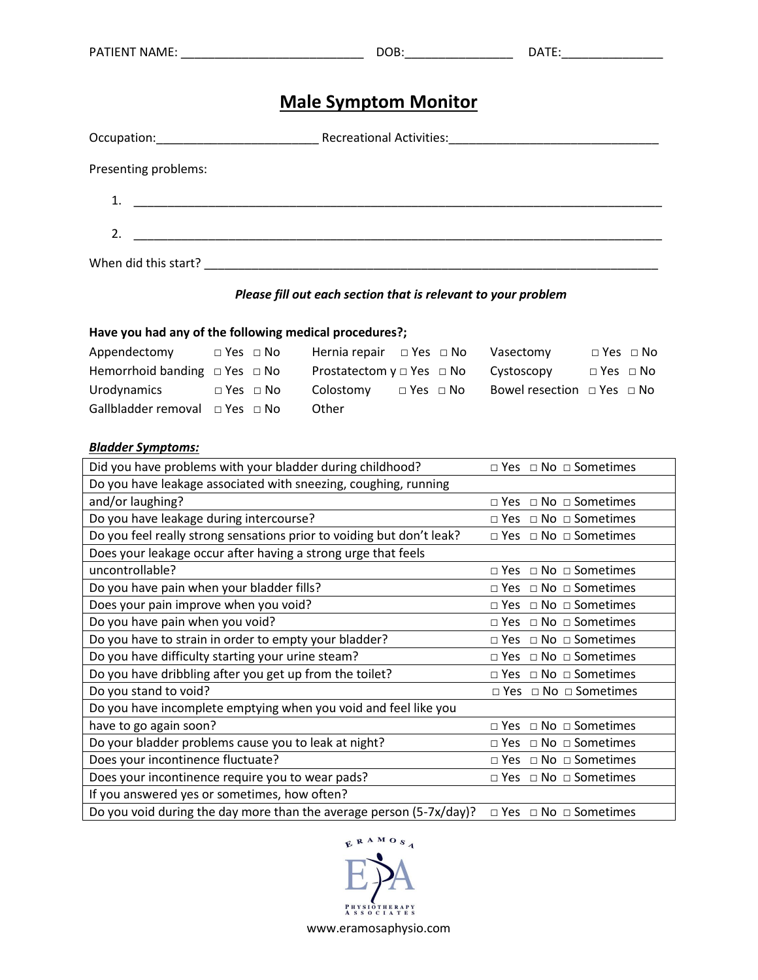# **Male Symptom Monitor**

| Presenting problems:                                                                                                       |  |
|----------------------------------------------------------------------------------------------------------------------------|--|
| 1.<br><u> 1980 - Johann Stein, mars an deutscher Stein und der Stein und der Stein und der Stein und der Stein und der</u> |  |
| <u> 1980 - Johann John Stein, markin fizzar a shekara 1980 - 1980 - 1980 - 1980 - 1980 - 1980 - 1980 - 1980 - 19</u>       |  |
| When did this start?                                                                                                       |  |

#### *Please fill out each section that is relevant to your problem*

### **Have you had any of the following medical procedures?;**

| Appendectomy                             | $\Box$ Yes $\Box$ No | Hernia repair $\Box$ Yes $\Box$ No                   |                      | Vasectomy                            |                      | $\Box$ Yes $\Box$ No |
|------------------------------------------|----------------------|------------------------------------------------------|----------------------|--------------------------------------|----------------------|----------------------|
| Hemorrhoid banding $\Box$ Yes $\Box$ No  |                      | Prostatectom $y \square$ Yes $\square$ No Cystoscopy |                      |                                      | $\Box$ Yes $\Box$ No |                      |
| Urodynamics                              | $\Box$ Yes $\Box$ No | Colostomy                                            | $\Box$ Yes $\Box$ No | Bowel resection $\Box$ Yes $\Box$ No |                      |                      |
| Gallbladder removal $\Box$ Yes $\Box$ No |                      | Other                                                |                      |                                      |                      |                      |

#### *Bladder Symptoms:*

| Did you have problems with your bladder during childhood?             | $\Box$ Yes $\Box$ No $\Box$ Sometimes |
|-----------------------------------------------------------------------|---------------------------------------|
| Do you have leakage associated with sneezing, coughing, running       |                                       |
| and/or laughing?                                                      | $\Box$ Yes $\Box$ No $\Box$ Sometimes |
| Do you have leakage during intercourse?                               | $\Box$ Yes $\Box$ No $\Box$ Sometimes |
| Do you feel really strong sensations prior to voiding but don't leak? | □ Yes □ No □ Sometimes                |
| Does your leakage occur after having a strong urge that feels         |                                       |
| uncontrollable?                                                       | $\Box$ Yes $\Box$ No $\Box$ Sometimes |
| Do you have pain when your bladder fills?                             | $\Box$ Yes $\Box$ No $\Box$ Sometimes |
| Does your pain improve when you void?                                 | $\Box$ Yes $\Box$ No $\Box$ Sometimes |
| Do you have pain when you void?                                       | $\Box$ Yes $\Box$ No $\Box$ Sometimes |
| Do you have to strain in order to empty your bladder?                 | $\Box$ Yes $\Box$ No $\Box$ Sometimes |
| Do you have difficulty starting your urine steam?                     | $\Box$ Yes $\Box$ No $\Box$ Sometimes |
| Do you have dribbling after you get up from the toilet?               | $\Box$ Yes $\Box$ No $\Box$ Sometimes |
| Do you stand to void?                                                 | $\Box$ Yes $\Box$ No $\Box$ Sometimes |
| Do you have incomplete emptying when you void and feel like you       |                                       |
| have to go again soon?                                                | $\Box$ Yes $\Box$ No $\Box$ Sometimes |
| Do your bladder problems cause you to leak at night?                  | $\Box$ Yes $\Box$ No $\Box$ Sometimes |
| Does your incontinence fluctuate?                                     | $\Box$ Yes $\Box$ No $\Box$ Sometimes |
| Does your incontinence require you to wear pads?                      | $\Box$ Yes $\Box$ No $\Box$ Sometimes |
| If you answered yes or sometimes, how often?                          |                                       |
| Do you void during the day more than the average person (5-7x/day)?   | $\Box$ Yes $\Box$ No $\Box$ Sometimes |

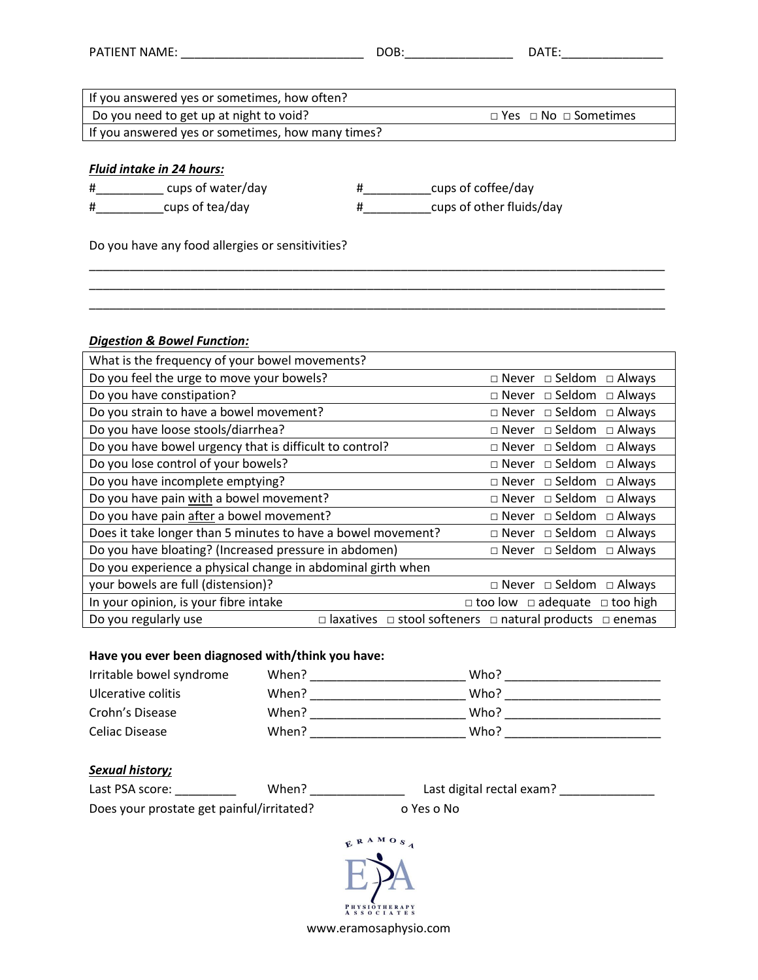| PATIENT NAME:                                     | DOB:<br>DATE:                         |
|---------------------------------------------------|---------------------------------------|
|                                                   |                                       |
| If you answered yes or sometimes, how often?      |                                       |
| Do you need to get up at night to void?           | $\Box$ Yes $\Box$ No $\Box$ Sometimes |
| If you answered yes or sometimes, how many times? |                                       |
|                                                   |                                       |
| <b>Fluid intake in 24 hours:</b>                  |                                       |
| cups of water/day<br>#<br>#                       | cups of coffee/day                    |
| cups of tea/day<br>#<br>#                         | cups of other fluids/day              |
| Do you have any food allergies or sensitivities?  |                                       |

\_\_\_\_\_\_\_\_\_\_\_\_\_\_\_\_\_\_\_\_\_\_\_\_\_\_\_\_\_\_\_\_\_\_\_\_\_\_\_\_\_\_\_\_\_\_\_\_\_\_\_\_\_\_\_\_\_\_\_\_\_\_\_\_\_\_\_\_\_\_\_\_\_\_\_\_\_\_\_\_\_\_\_\_\_ \_\_\_\_\_\_\_\_\_\_\_\_\_\_\_\_\_\_\_\_\_\_\_\_\_\_\_\_\_\_\_\_\_\_\_\_\_\_\_\_\_\_\_\_\_\_\_\_\_\_\_\_\_\_\_\_\_\_\_\_\_\_\_\_\_\_\_\_\_\_\_\_\_\_\_\_\_\_\_\_\_\_\_\_\_

#### *Digestion & Bowel Function:*

| What is the frequency of your bowel movements?               |           |                                                |                                          |                  |
|--------------------------------------------------------------|-----------|------------------------------------------------|------------------------------------------|------------------|
| Do you feel the urge to move your bowels?                    |           |                                                | $\Box$ Never $\Box$ Seldom $\Box$ Always |                  |
| Do you have constipation?                                    |           |                                                | $\Box$ Never $\Box$ Seldom $\Box$ Always |                  |
| Do you strain to have a bowel movement?                      |           |                                                | $\Box$ Never $\Box$ Seldom $\Box$ Always |                  |
| Do you have loose stools/diarrhea?                           |           |                                                | $\Box$ Never $\Box$ Seldom $\Box$ Always |                  |
| Do you have bowel urgency that is difficult to control?      |           |                                                | $\Box$ Never $\Box$ Seldom $\Box$ Always |                  |
| Do you lose control of your bowels?                          |           |                                                | $\Box$ Never $\Box$ Seldom $\Box$ Always |                  |
| Do you have incomplete emptying?                             |           |                                                | $\Box$ Never $\Box$ Seldom $\Box$ Always |                  |
| Do you have pain with a bowel movement?                      |           |                                                | $\Box$ Never $\Box$ Seldom $\Box$ Always |                  |
| Do you have pain after a bowel movement?                     |           |                                                | $\Box$ Never $\Box$ Seldom $\Box$ Always |                  |
| Does it take longer than 5 minutes to have a bowel movement? |           | $\Box$ Never $\Box$ Seldom $\Box$ Always       |                                          |                  |
| Do you have bloating? (Increased pressure in abdomen)        |           |                                                | $\Box$ Never $\Box$ Seldom $\Box$ Always |                  |
| Do you experience a physical change in abdominal girth when  |           |                                                |                                          |                  |
| your bowels are full (distension)?                           |           |                                                | $\Box$ Never $\Box$ Seldom $\Box$ Always |                  |
| In your opinion, is your fibre intake                        |           | $\Box$ too low $\Box$ adequate $\Box$ too high |                                          |                  |
| Do you regularly use<br>П                                    | laxatives | $\Box$ stool softeners $\Box$ natural products |                                          | $\square$ enemas |

## **Have you ever been diagnosed with/think you have:**

| Irritable bowel syndrome | When? | Who? |
|--------------------------|-------|------|
| Ulcerative colitis       | When? | Who? |
| Crohn's Disease          | When? | Who? |
| Celiac Disease           | When? | Who? |

## *Sexual history;*

| Last PSA score:                           | When? | Last digital rectal exam? |
|-------------------------------------------|-------|---------------------------|
| Does your prostate get painful/irritated? |       | o Yes o No                |

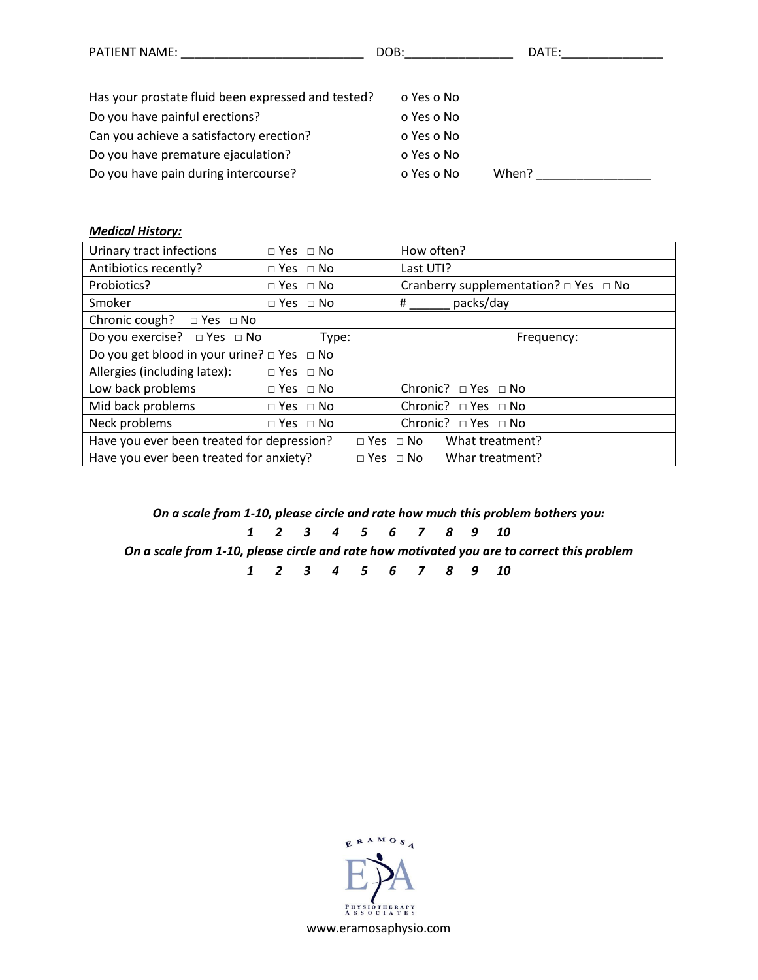| <b>PATIENT NAME:</b>                               | DOB:       | DATE: |
|----------------------------------------------------|------------|-------|
|                                                    |            |       |
| Has your prostate fluid been expressed and tested? | o Yes o No |       |
| Do you have painful erections?                     | o Yes o No |       |
| Can you achieve a satisfactory erection?           | o Yes o No |       |
| Do you have premature ejaculation?                 | o Yes o No |       |
| Do you have pain during intercourse?               | o Yes o No | When? |

#### *Medical History:*

| Urinary tract infections                             | $\Box$ Yes $\Box$ No |       | How often?                                      |
|------------------------------------------------------|----------------------|-------|-------------------------------------------------|
| Antibiotics recently?                                | $\Box$ Yes $\Box$ No |       | Last UTI?                                       |
| Probiotics?                                          | $\Box$ Yes $\Box$ No |       | Cranberry supplementation? $\Box$ Yes $\Box$ No |
| Smoker                                               | $\Box$ Yes $\Box$ No |       | packs/day<br>#                                  |
| Chronic cough? $\Box$ Yes $\Box$ No                  |                      |       |                                                 |
| Do you exercise? □ Yes □ No                          |                      | Type: | Frequency:                                      |
| Do you get blood in your urine? $\Box$ Yes $\Box$ No |                      |       |                                                 |
| Allergies (including latex):                         | $\Box$ Yes $\Box$ No |       |                                                 |
| Low back problems                                    | $\Box$ Yes $\Box$ No |       | Chronic? □ Yes □ No                             |
| Mid back problems                                    | $\Box$ Yes $\Box$ No |       | Chronic? □ Yes □ No                             |
| Neck problems                                        | $\Box$ Yes $\Box$ No |       | Chronic? $\Box$ Yes $\Box$ No                   |
| Have you ever been treated for depression?           |                      |       | What treatment?<br>$\Box$ Yes $\Box$ No         |
| Have you ever been treated for anxiety?              |                      |       | Whar treatment?<br>$\Box$ Yes $\Box$ No         |

*On a scale from 1-10, please circle and rate how much this problem bothers you:*

*1 2 3 4 5 6 7 8 9 10*

*On a scale from 1-10, please circle and rate how motivated you are to correct this problem*

*1 2 3 4 5 6 7 8 9 10*

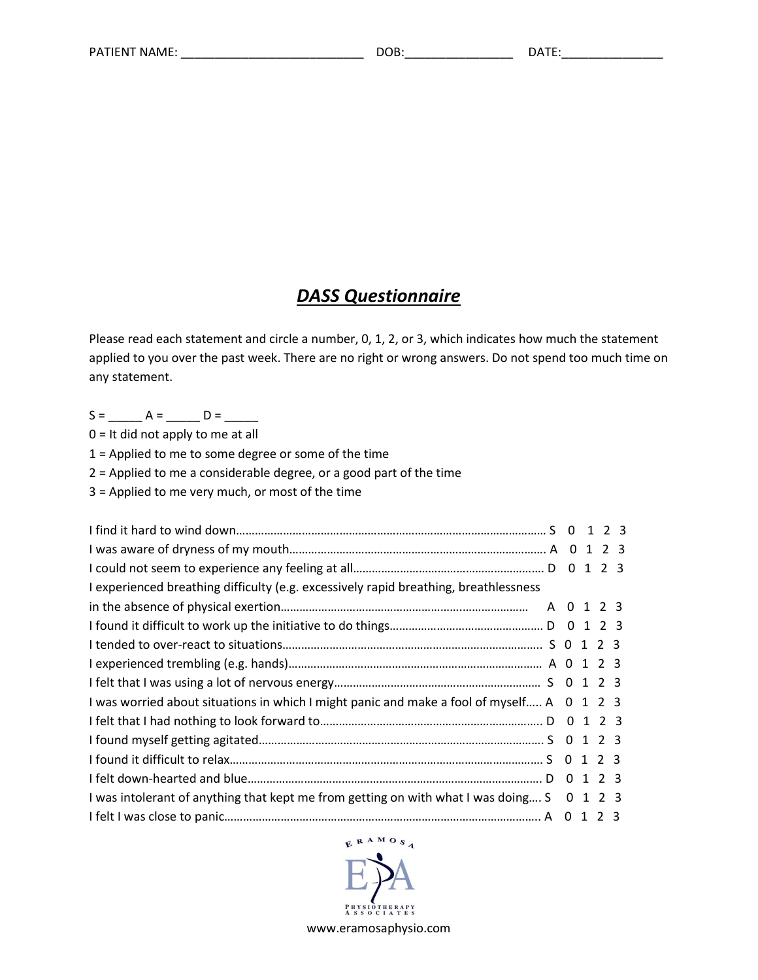## *DASS Questionnaire*

Please read each statement and circle a number, 0, 1, 2, or 3, which indicates how much the statement applied to you over the past week. There are no right or wrong answers. Do not spend too much time on any statement.

S = \_\_\_\_\_ A = \_\_\_\_\_ D = \_\_\_\_\_

0 = It did not apply to me at all

1 = Applied to me to some degree or some of the time

2 = Applied to me a considerable degree, or a good part of the time

3 = Applied to me very much, or most of the time

| I experienced breathing difficulty (e.g. excessively rapid breathing, breathlessness      |  |  |
|-------------------------------------------------------------------------------------------|--|--|
|                                                                                           |  |  |
|                                                                                           |  |  |
|                                                                                           |  |  |
|                                                                                           |  |  |
|                                                                                           |  |  |
| I was worried about situations in which I might panic and make a fool of myself A 0 1 2 3 |  |  |
|                                                                                           |  |  |
|                                                                                           |  |  |
|                                                                                           |  |  |
|                                                                                           |  |  |
| I was intolerant of anything that kept me from getting on with what I was doing S 0 1 2 3 |  |  |
|                                                                                           |  |  |